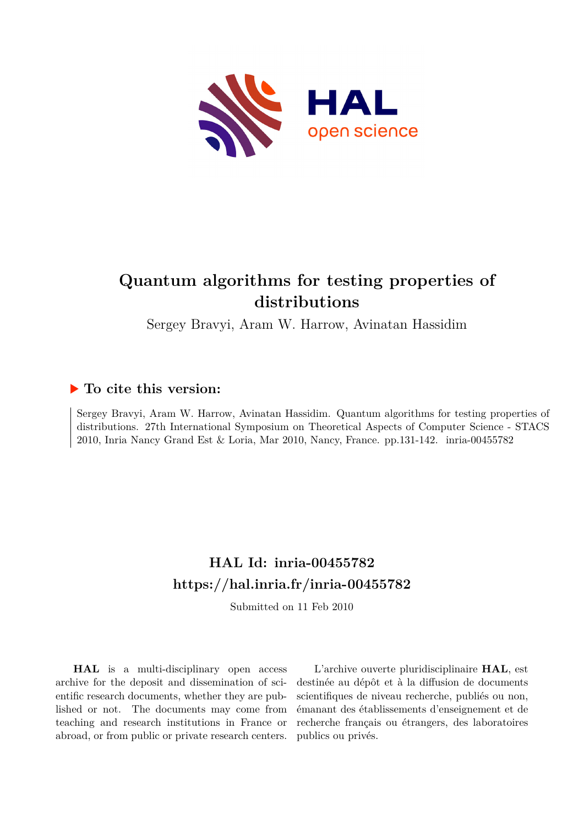

# **Quantum algorithms for testing properties of distributions**

Sergey Bravyi, Aram W. Harrow, Avinatan Hassidim

## **To cite this version:**

Sergey Bravyi, Aram W. Harrow, Avinatan Hassidim. Quantum algorithms for testing properties of distributions. 27th International Symposium on Theoretical Aspects of Computer Science - STACS 2010, Inria Nancy Grand Est & Loria, Mar 2010, Nancy, France. pp.131-142. inria-00455782

## **HAL Id: inria-00455782 <https://hal.inria.fr/inria-00455782>**

Submitted on 11 Feb 2010

**HAL** is a multi-disciplinary open access archive for the deposit and dissemination of scientific research documents, whether they are published or not. The documents may come from teaching and research institutions in France or abroad, or from public or private research centers.

L'archive ouverte pluridisciplinaire **HAL**, est destinée au dépôt et à la diffusion de documents scientifiques de niveau recherche, publiés ou non, émanant des établissements d'enseignement et de recherche français ou étrangers, des laboratoires publics ou privés.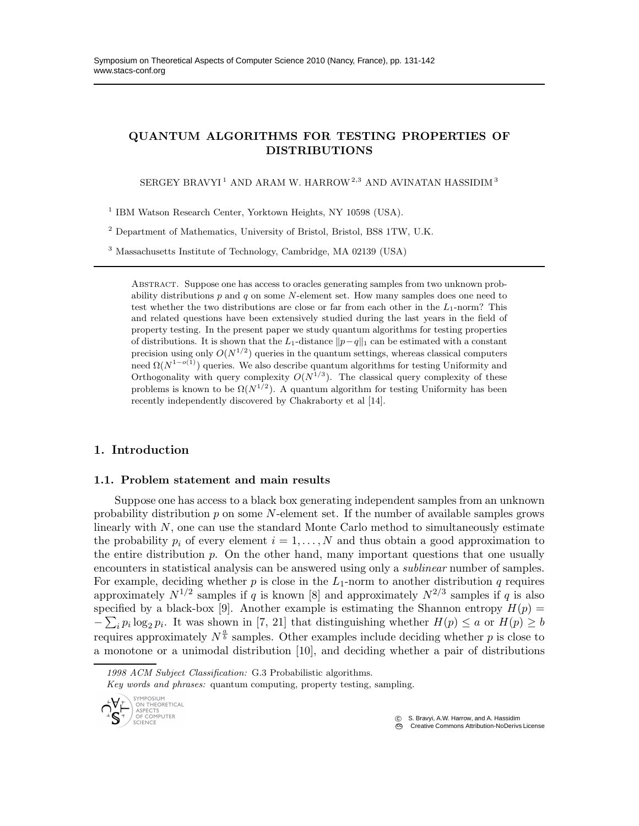### QUANTUM ALGORITHMS FOR TESTING PROPERTIES OF DISTRIBUTIONS

 $SERGEY$   $BRAVYI$  $^{1}$  AND  $ARAM$  W.  $HARROW$   $^{2,3}$  AND AVINATAN  $HASSIDIM$   $^{3}$ 

<sup>1</sup> IBM Watson Research Center, Yorktown Heights, NY 10598 (USA).

 $^2$  Department of Mathematics, University of Bristol, Bristol, BS8 1TW, U.K.

<sup>3</sup> Massachusetts Institute of Technology, Cambridge, MA 02139 (USA)

Abstract. Suppose one has access to oracles generating samples from two unknown probability distributions  $p$  and  $q$  on some N-element set. How many samples does one need to test whether the two distributions are close or far from each other in the  $L_1$ -norm? This and related questions have been extensively studied during the last years in the field of property testing. In the present paper we study quantum algorithms for testing properties of distributions. It is shown that the L<sub>1</sub>-distance  $||p-q||_1$  can be estimated with a constant precision using only  $O(N^{1/2})$  queries in the quantum settings, whereas classical computers need  $\Omega(N^{1-o(1)})$  queries. We also describe quantum algorithms for testing Uniformity and Orthogonality with query complexity  $O(N^{1/3})$ . The classical query complexity of these problems is known to be  $\Omega(N^{1/2})$ . A quantum algorithm for testing Uniformity has been recently independently discovered by Chakraborty et al [14].

#### 1. Introduction

#### 1.1. Problem statement and main results

Suppose one has access to a black box generating independent samples from an unknown probability distribution  $p$  on some  $N$ -element set. If the number of available samples grows linearly with  $N$ , one can use the standard Monte Carlo method to simultaneously estimate the probability  $p_i$  of every element  $i = 1, \ldots, N$  and thus obtain a good approximation to the entire distribution  $p$ . On the other hand, many important questions that one usually encounters in statistical analysis can be answered using only a *sublinear* number of samples. For example, deciding whether p is close in the  $L_1$ -norm to another distribution q requires approximately  $N^{1/2}$  samples if q is known [8] and approximately  $N^{2/3}$  samples if q is also specified by a black-box [9]. Another example is estimating the Shannon entropy  $H(p)$  =  $-\sum_i p_i \log_2 p_i$ . It was shown in [7, 21] that distinguishing whether  $H(p) \le a$  or  $H(p) \ge b$ requires approximately  $N^{\frac{a}{b}}$  samples. Other examples include deciding whether p is close to a monotone or a unimodal distribution [10], and deciding whether a pair of distributions

*1998 ACM Subject Classification:* G.3 Probabilistic algorithms.

*Key words and phrases:* quantum computing, property testing, sampling.



c S. Bravyi, A.W. Harrow, and A. Hassidim

**CC** Creative Commons Attribution-NoDerivs License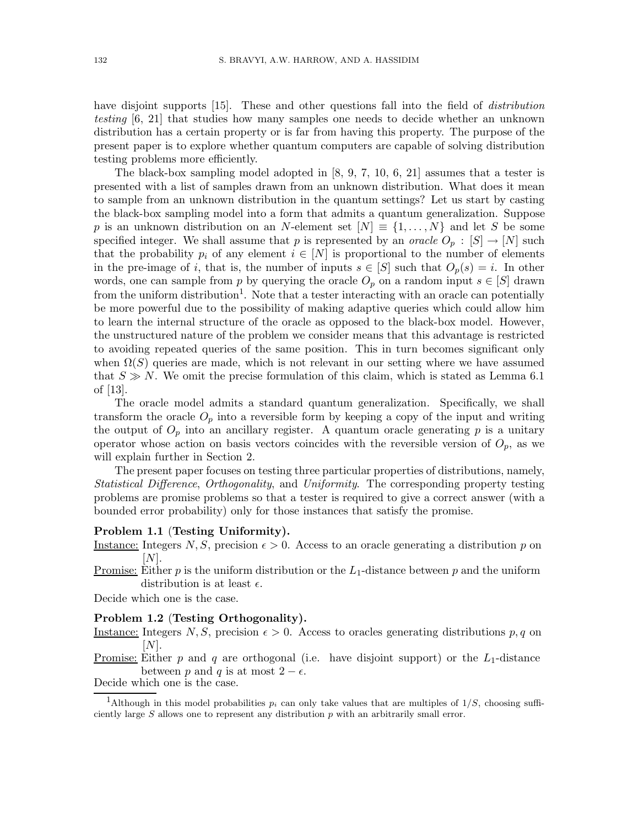have disjoint supports [15]. These and other questions fall into the field of *distribution testing* [6, 21] that studies how many samples one needs to decide whether an unknown distribution has a certain property or is far from having this property. The purpose of the present paper is to explore whether quantum computers are capable of solving distribution testing problems more efficiently.

The black-box sampling model adopted in [8, 9, 7, 10, 6, 21] assumes that a tester is presented with a list of samples drawn from an unknown distribution. What does it mean to sample from an unknown distribution in the quantum settings? Let us start by casting the black-box sampling model into a form that admits a quantum generalization. Suppose p is an unknown distribution on an N-element set  $[N] \equiv \{1, \ldots, N\}$  and let S be some specified integer. We shall assume that p is represented by an *oracle*  $O_p : [S] \to [N]$  such that the probability  $p_i$  of any element  $i \in [N]$  is proportional to the number of elements in the pre-image of i, that is, the number of inputs  $s \in [S]$  such that  $O_p(s) = i$ . In other words, one can sample from p by querying the oracle  $O_p$  on a random input  $s \in [S]$  drawn from the uniform distribution<sup>1</sup>. Note that a tester interacting with an oracle can potentially be more powerful due to the possibility of making adaptive queries which could allow him to learn the internal structure of the oracle as opposed to the black-box model. However, the unstructured nature of the problem we consider means that this advantage is restricted to avoiding repeated queries of the same position. This in turn becomes significant only when  $\Omega(S)$  queries are made, which is not relevant in our setting where we have assumed that  $S \gg N$ . We omit the precise formulation of this claim, which is stated as Lemma 6.1 of [13].

The oracle model admits a standard quantum generalization. Specifically, we shall transform the oracle  $O_p$  into a reversible form by keeping a copy of the input and writing the output of  $O_p$  into an ancillary register. A quantum oracle generating p is a unitary operator whose action on basis vectors coincides with the reversible version of  $O_p$ , as we will explain further in Section 2.

The present paper focuses on testing three particular properties of distributions, namely, *Statistical Difference*, *Orthogonality*, and *Uniformity*. The corresponding property testing problems are promise problems so that a tester is required to give a correct answer (with a bounded error probability) only for those instances that satisfy the promise.

#### Problem 1.1 (Testing Uniformity).

Instance: Integers N, S, precision  $\epsilon > 0$ . Access to an oracle generating a distribution p on  $[N]$ .

Promise: Either p is the uniform distribution or the  $L_1$ -distance between p and the uniform distribution is at least  $\epsilon$ .

Decide which one is the case.

#### Problem 1.2 (Testing Orthogonality).

Instance: Integers  $N, S$ , precision  $\epsilon > 0$ . Access to oracles generating distributions p, q on  $[N]$ .

<u>Promise:</u> Either p and q are orthogonal (i.e. have disjoint support) or the  $L_1$ -distance between p and q is at most  $2 - \epsilon$ .

Decide which one is the case.

<sup>&</sup>lt;sup>1</sup>Although in this model probabilities  $p_i$  can only take values that are multiples of  $1/S$ , choosing sufficiently large  $S$  allows one to represent any distribution  $p$  with an arbitrarily small error.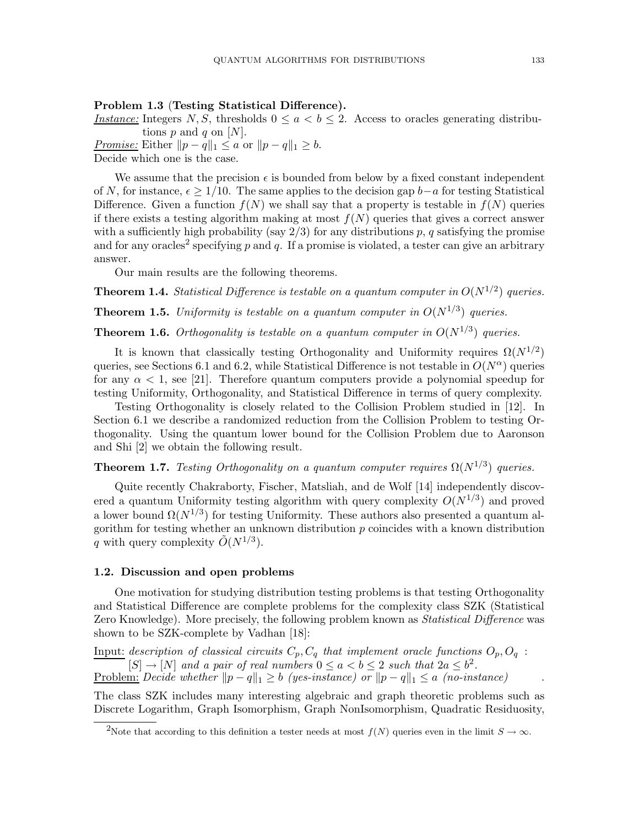### Problem 1.3 (Testing Statistical Difference).

*Instance:* Integers  $N, S$ , thresholds  $0 \le a < b \le 2$ . Access to oracles generating distributions  $p$  and  $q$  on  $[N]$ .

*<u>Promise:*</u> Either  $||p - q||_1 \le a$  or  $||p - q||_1 \ge b$ . Decide which one is the case.

We assume that the precision  $\epsilon$  is bounded from below by a fixed constant independent of N, for instance,  $\epsilon \geq 1/10$ . The same applies to the decision gap  $b-a$  for testing Statistical Difference. Given a function  $f(N)$  we shall say that a property is testable in  $f(N)$  queries if there exists a testing algorithm making at most  $f(N)$  queries that gives a correct answer with a sufficiently high probability (say  $2/3$ ) for any distributions p, q satisfying the promise and for any oracles<sup>2</sup> specifying p and q. If a promise is violated, a tester can give an arbitrary answer.

Our main results are the following theorems.

**Theorem 1.4.** *Statistical Difference is testable on a quantum computer in*  $O(N^{1/2})$  *queries.* 

**Theorem 1.5.** Uniformity is testable on a quantum computer in  $O(N^{1/3})$  queries.

**Theorem 1.6.** Orthogonality is testable on a quantum computer in  $O(N^{1/3})$  queries.

It is known that classically testing Orthogonality and Uniformity requires  $\Omega(N^{1/2})$ queries, see Sections 6.1 and 6.2, while Statistical Difference is not testable in  $O(N^{\alpha})$  queries for any  $\alpha < 1$ , see [21]. Therefore quantum computers provide a polynomial speedup for testing Uniformity, Orthogonality, and Statistical Difference in terms of query complexity.

Testing Orthogonality is closely related to the Collision Problem studied in [12]. In Section 6.1 we describe a randomized reduction from the Collision Problem to testing Orthogonality. Using the quantum lower bound for the Collision Problem due to Aaronson and Shi [2] we obtain the following result.

**Theorem 1.7.** *Testing Orthogonality on a quantum computer requires*  $\Omega(N^{1/3})$  *queries.* 

Quite recently Chakraborty, Fischer, Matsliah, and de Wolf [14] independently discovered a quantum Uniformity testing algorithm with query complexity  $O(N^{1/3})$  and proved a lower bound  $\Omega(N^{1/3})$  for testing Uniformity. These authors also presented a quantum algorithm for testing whether an unknown distribution  $p$  coincides with a known distribution q with query complexity  $\tilde{O}(N^{1/3})$ .

#### 1.2. Discussion and open problems

One motivation for studying distribution testing problems is that testing Orthogonality and Statistical Difference are complete problems for the complexity class SZK (Statistical Zero Knowledge). More precisely, the following problem known as *Statistical Difference* was shown to be SZK-complete by Vadhan [18]:

Input: *description of classical circuits*  $C_p$ ,  $C_q$  *that implement oracle functions*  $O_p$ ,  $O_q$ :  $[S] \to [N]$  and a pair of real numbers  $0 \le a < b \le 2$  such that  $2a \le b^2$ .

Problem: *Decide whether*  $||p - q||_1 \ge b$  *(yes-instance) or*  $||p - q||_1 \le a$  *(no-instance)* 

The class SZK includes many interesting algebraic and graph theoretic problems such as Discrete Logarithm, Graph Isomorphism, Graph NonIsomorphism, Quadratic Residuosity,

<sup>&</sup>lt;sup>2</sup>Note that according to this definition a tester needs at most  $f(N)$  queries even in the limit  $S \to \infty$ .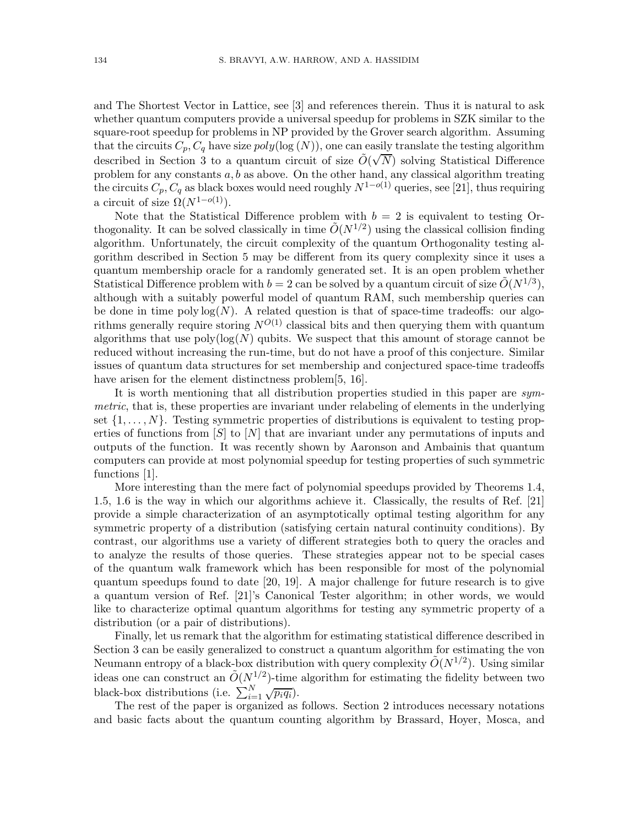and The Shortest Vector in Lattice, see [3] and references therein. Thus it is natural to ask whether quantum computers provide a universal speedup for problems in SZK similar to the square-root speedup for problems in NP provided by the Grover search algorithm. Assuming that the circuits  $C_p, C_q$  have size  $poly(log(N))$ , one can easily translate the testing algorithm described in Section 3 to a quantum circuit of size  $\tilde{O}(\sqrt{N})$  solving Statistical Difference problem for any constants  $a, b$  as above. On the other hand, any classical algorithm treating the circuits  $C_p, C_q$  as black boxes would need roughly  $N^{1-o(1)}$  queries, see [21], thus requiring a circuit of size  $\Omega(N^{1-o(1)})$ .

Note that the Statistical Difference problem with  $b = 2$  is equivalent to testing Orthogonality. It can be solved classically in time  $\tilde{O}(N^{1/2})$  using the classical collision finding algorithm. Unfortunately, the circuit complexity of the quantum Orthogonality testing algorithm described in Section 5 may be different from its query complexity since it uses a quantum membership oracle for a randomly generated set. It is an open problem whether Statistical Difference problem with  $b = 2$  can be solved by a quantum circuit of size  $\tilde{O}(N^{1/3})$ , although with a suitably powerful model of quantum RAM, such membership queries can be done in time poly  $log(N)$ . A related question is that of space-time tradeoffs: our algorithms generally require storing  $N^{O(1)}$  classical bits and then querying them with quantum algorithms that use  $poly(log(N))$  qubits. We suspect that this amount of storage cannot be reduced without increasing the run-time, but do not have a proof of this conjecture. Similar issues of quantum data structures for set membership and conjectured space-time tradeoffs have arisen for the element distinctness problem[5, 16].

It is worth mentioning that all distribution properties studied in this paper are *symmetric*, that is, these properties are invariant under relabeling of elements in the underlying set  $\{1, \ldots, N\}$ . Testing symmetric properties of distributions is equivalent to testing properties of functions from  $[S]$  to  $[N]$  that are invariant under any permutations of inputs and outputs of the function. It was recently shown by Aaronson and Ambainis that quantum computers can provide at most polynomial speedup for testing properties of such symmetric functions [1].

More interesting than the mere fact of polynomial speedups provided by Theorems 1.4, 1.5, 1.6 is the way in which our algorithms achieve it. Classically, the results of Ref. [21] provide a simple characterization of an asymptotically optimal testing algorithm for any symmetric property of a distribution (satisfying certain natural continuity conditions). By contrast, our algorithms use a variety of different strategies both to query the oracles and to analyze the results of those queries. These strategies appear not to be special cases of the quantum walk framework which has been responsible for most of the polynomial quantum speedups found to date [20, 19]. A major challenge for future research is to give a quantum version of Ref. [21]'s Canonical Tester algorithm; in other words, we would like to characterize optimal quantum algorithms for testing any symmetric property of a distribution (or a pair of distributions).

Finally, let us remark that the algorithm for estimating statistical difference described in Section 3 can be easily generalized to construct a quantum algorithm for estimating the von Neumann entropy of a black-box distribution with query complexity  $\tilde{O}(N^{1/2})$ . Using similar ideas one can construct an  $\tilde{O}(N^{1/2})$ -time algorithm for estimating the fidelity between two black-box distributions (i.e.  $\sum_{i=1}^{N} \sqrt{p_i q_i}$ ).

The rest of the paper is organized as follows. Section 2 introduces necessary notations and basic facts about the quantum counting algorithm by Brassard, Hoyer, Mosca, and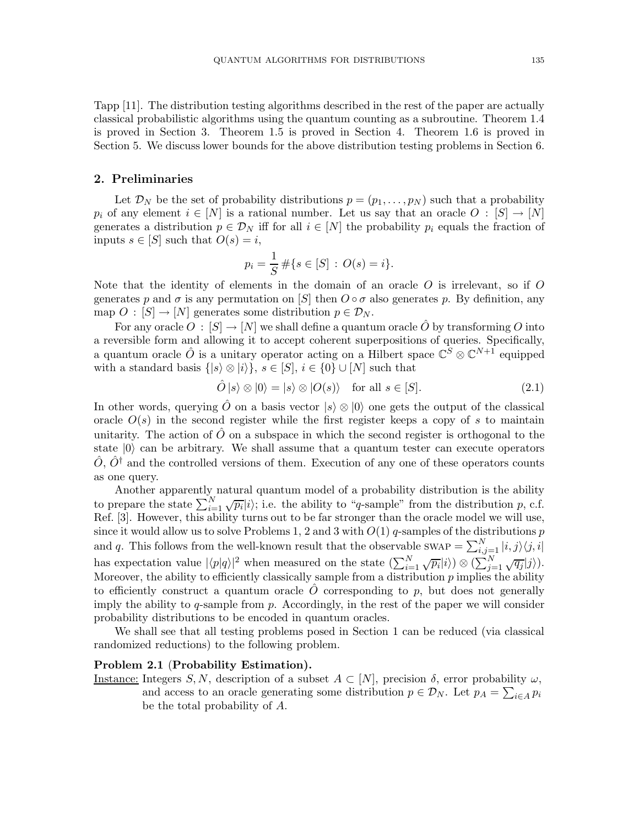Tapp [11]. The distribution testing algorithms described in the rest of the paper are actually classical probabilistic algorithms using the quantum counting as a subroutine. Theorem 1.4 is proved in Section 3. Theorem 1.5 is proved in Section 4. Theorem 1.6 is proved in Section 5. We discuss lower bounds for the above distribution testing problems in Section 6.

#### 2. Preliminaries

Let  $\mathcal{D}_N$  be the set of probability distributions  $p = (p_1, \ldots, p_N)$  such that a probability  $p_i$  of any element  $i \in [N]$  is a rational number. Let us say that an oracle  $O : [S] \to [N]$ generates a distribution  $p \in \mathcal{D}_N$  iff for all  $i \in [N]$  the probability  $p_i$  equals the fraction of inputs  $s \in [S]$  such that  $O(s) = i$ ,

$$
p_i = \frac{1}{S} \# \{ s \in [S] : O(s) = i \}.
$$

Note that the identity of elements in the domain of an oracle  $O$  is irrelevant, so if  $O$ generates p and  $\sigma$  is any permutation on [S] then  $O \circ \sigma$  also generates p. By definition, any map  $O : [S] \to [N]$  generates some distribution  $p \in \mathcal{D}_N$ .

For any oracle  $O: [S] \to [N]$  we shall define a quantum oracle  $\hat{O}$  by transforming O into a reversible form and allowing it to accept coherent superpositions of queries. Specifically, a quantum oracle  $\hat{O}$  is a unitary operator acting on a Hilbert space  $\mathbb{C}^S \otimes \mathbb{C}^{N+1}$  equipped with a standard basis  $\{|s\rangle \otimes |i\rangle$ ,  $s \in [S], i \in \{0\} \cup [N]$  such that

$$
\hat{O} |s\rangle \otimes |0\rangle = |s\rangle \otimes |O(s)\rangle \quad \text{for all } s \in [S]. \tag{2.1}
$$

In other words, querying  $\hat{O}$  on a basis vector  $|s\rangle \otimes |0\rangle$  one gets the output of the classical oracle  $O(s)$  in the second register while the first register keeps a copy of s to maintain unitarity. The action of  $O$  on a subspace in which the second register is orthogonal to the state  $|0\rangle$  can be arbitrary. We shall assume that a quantum tester can execute operators  $O, O^{\dagger}$  and the controlled versions of them. Execution of any one of these operators counts as one query.

Another apparently natural quantum model of a probability distribution is the ability to prepare the state  $\sum_{i=1}^{N} \sqrt{p_i} |i\rangle$ ; i.e. the ability to "q-sample" from the distribution p, c.f. Ref. [3]. However, this ability turns out to be far stronger than the oracle model we will use, since it would allow us to solve Problems 1, 2 and 3 with  $O(1)$  q-samples of the distributions p and q. This follows from the well-known result that the observable swap  $= \sum_{i,j=1}^{N} |i,j\rangle \langle j,i|$ has expectation value  $|\langle p|q\rangle|^2$  when measured on the state  $(\sum_{i=1}^N \sqrt{p_i}|i\rangle) \otimes (\sum_{j=1}^N \sqrt{q_j}|j\rangle)$ . Moreover, the ability to efficiently classically sample from a distribution  $p$  implies the ability to efficiently construct a quantum oracle  $\hat{O}$  corresponding to p, but does not generally imply the ability to q-sample from  $p$ . Accordingly, in the rest of the paper we will consider probability distributions to be encoded in quantum oracles.

We shall see that all testing problems posed in Section 1 can be reduced (via classical randomized reductions) to the following problem.

#### Problem 2.1 (Probability Estimation).

Instance: Integers S, N, description of a subset  $A \subset [N]$ , precision  $\delta$ , error probability  $\omega$ , and access to an oracle generating some distribution  $p \in \mathcal{D}_N$ . Let  $p_A = \sum_{i \in A} p_i$ be the total probability of A.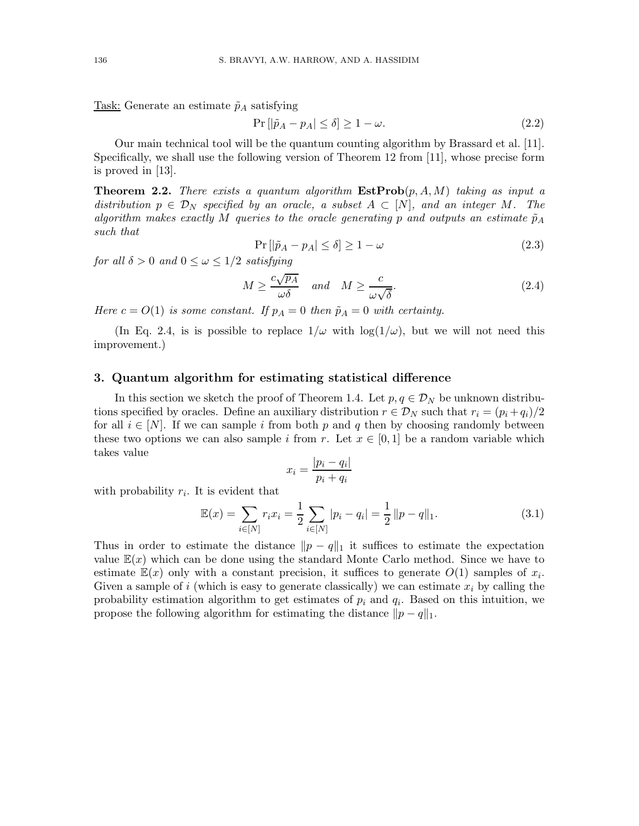Task: Generate an estimate  $\tilde{p}_A$  satisfying

$$
\Pr\left[|\tilde{p}_A - p_A| \le \delta\right] \ge 1 - \omega. \tag{2.2}
$$

Our main technical tool will be the quantum counting algorithm by Brassard et al. [11]. Specifically, we shall use the following version of Theorem 12 from [11], whose precise form is proved in [13].

**Theorem 2.2.** *There exists a quantum algorithm*  $\text{EstProb}(p, A, M)$  *taking as input a distribution*  $p \in \mathcal{D}_N$  *specified by an oracle, a subset*  $A \subset [N]$ *, and an integer* M. The *algorithm makes exactly* M *queries to the oracle generating* p and outputs an estimate  $\tilde{p}_A$ *such that*

$$
\Pr\left[|\tilde{p}_A - p_A| \le \delta\right] \ge 1 - \omega \tag{2.3}
$$

*for all*  $\delta > 0$  *and*  $0 \leq \omega \leq 1/2$  *satisfying* 

$$
M \ge \frac{c\sqrt{p_A}}{\omega\delta} \quad \text{and} \quad M \ge \frac{c}{\omega\sqrt{\delta}}.\tag{2.4}
$$

*Here*  $c = O(1)$  *is some constant. If*  $p_A = 0$  *then*  $\tilde{p}_A = 0$  *with certainty.* 

(In Eq. 2.4, is is possible to replace  $1/\omega$  with  $\log(1/\omega)$ , but we will not need this improvement.)

#### 3. Quantum algorithm for estimating statistical difference

In this section we sketch the proof of Theorem 1.4. Let  $p, q \in \mathcal{D}_N$  be unknown distributions specified by oracles. Define an auxiliary distribution  $r \in \mathcal{D}_N$  such that  $r_i = (p_i + q_i)/2$ for all  $i \in [N]$ . If we can sample i from both p and q then by choosing randomly between these two options we can also sample i from r. Let  $x \in [0, 1]$  be a random variable which takes value

$$
x_i = \frac{|p_i - q_i|}{p_i + q_i}
$$

with probability  $r_i$ . It is evident that

$$
\mathbb{E}(x) = \sum_{i \in [N]} r_i x_i = \frac{1}{2} \sum_{i \in [N]} |p_i - q_i| = \frac{1}{2} ||p - q||_1.
$$
 (3.1)

Thus in order to estimate the distance  $||p - q||_1$  it suffices to estimate the expectation value  $\mathbb{E}(x)$  which can be done using the standard Monte Carlo method. Since we have to estimate  $\mathbb{E}(x)$  only with a constant precision, it suffices to generate  $O(1)$  samples of  $x_i$ . Given a sample of i (which is easy to generate classically) we can estimate  $x_i$  by calling the probability estimation algorithm to get estimates of  $p_i$  and  $q_i$ . Based on this intuition, we propose the following algorithm for estimating the distance  $||p - q||_1$ .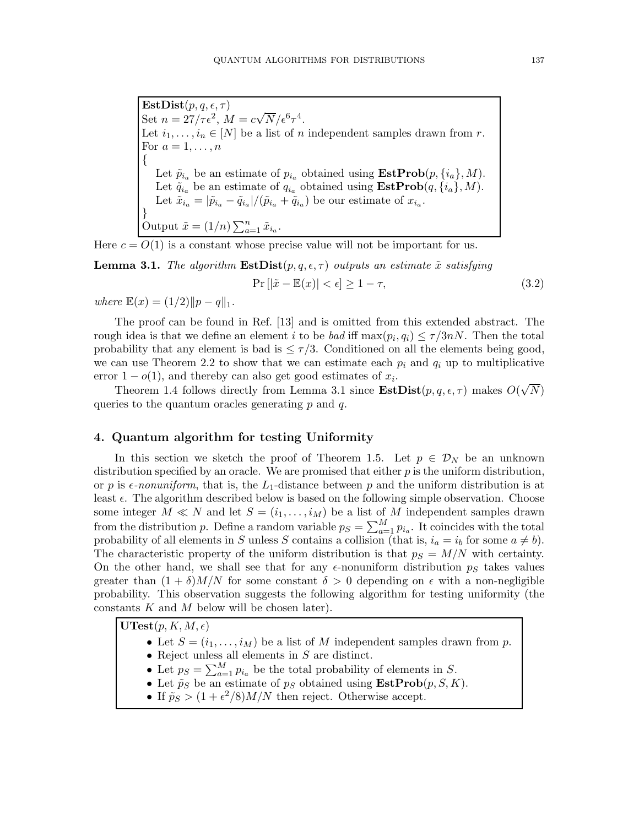$\mathbf{EstDist}(p,q,\epsilon,\tau)$ Set  $n = 27/\tau \epsilon^2$ ,  $M = c\sqrt{N}/\epsilon^6 \tau^4$ . Let  $i_1, \ldots, i_n \in [N]$  be a list of n independent samples drawn from r. For  $a=1,\ldots,n$ { Let  $\tilde{p}_{i_a}$  be an estimate of  $p_{i_a}$  obtained using  $\textbf{EstProb}(p, \{i_a\}, M)$ . Let  $\tilde{q}_{i_a}$  be an estimate of  $q_{i_a}$  obtained using  $\textbf{EstProb}(q, \{i_a\}, M)$ . Let  $\tilde{x}_{i_a} = |\tilde{p}_{i_a} - \tilde{q}_{i_a}|/(\tilde{p}_{i_a} + \tilde{q}_{i_a})$  be our estimate of  $x_{i_a}$ . } Output  $\tilde{x} = (1/n) \sum_{a=1}^n \tilde{x}_{i_a}$ .

Here  $c = O(1)$  is a constant whose precise value will not be important for us.

**Lemma 3.1.** *The algorithm*  $\textbf{EstDist}(p, q, \epsilon, \tau)$  *outputs an estimate*  $\tilde{x}$  *satisfying* 

$$
\Pr\left[|\tilde{x} - \mathbb{E}(x)| < \epsilon\right] \ge 1 - \tau,\tag{3.2}
$$

*where*  $\mathbb{E}(x) = (1/2) \|p - q\|_1$ .

The proof can be found in Ref. [13] and is omitted from this extended abstract. The rough idea is that we define an element i to be *bad* iff  $\max(p_i, q_i) \leq \tau/3nN$ . Then the total probability that any element is bad is  $\leq \tau/3$ . Conditioned on all the elements being good, we can use Theorem 2.2 to show that we can estimate each  $p_i$  and  $q_i$  up to multiplicative error  $1 - o(1)$ , and thereby can also get good estimates of  $x_i$ .

Theorem 1.4 follows directly from Lemma 3.1 since  $\textbf{EstDist}(p, q, \epsilon, \tau)$  makes  $O(\sqrt{N})$ queries to the quantum oracles generating  $p$  and  $q$ .

#### 4. Quantum algorithm for testing Uniformity

In this section we sketch the proof of Theorem 1.5. Let  $p \in \mathcal{D}_N$  be an unknown distribution specified by an oracle. We are promised that either  $p$  is the uniform distribution, or p is  $\epsilon$ -nonuniform, that is, the L<sub>1</sub>-distance between p and the uniform distribution is at least  $\epsilon$ . The algorithm described below is based on the following simple observation. Choose some integer  $M \ll N$  and let  $S = (i_1, \ldots, i_M)$  be a list of M independent samples drawn from the distribution p. Define a random variable  $p_S = \sum_{a=1}^{M} p_{i_a}$ . It coincides with the total probability of all elements in S unless S contains a collision (that is,  $i_a = i_b$  for some  $a \neq b$ ). The characteristic property of the uniform distribution is that  $p<sub>S</sub> = M/N$  with certainty. On the other hand, we shall see that for any  $\epsilon$ -nonuniform distribution  $p<sub>S</sub>$  takes values greater than  $(1 + \delta)M/N$  for some constant  $\delta > 0$  depending on  $\epsilon$  with a non-negligible probability. This observation suggests the following algorithm for testing uniformity (the constants  $K$  and  $M$  below will be chosen later).

 $\mathbf{UTest}(p,K,M,\epsilon)$ 

- Let  $S = (i_1, \ldots, i_M)$  be a list of M independent samples drawn from p.
- Reject unless all elements in  $S$  are distinct.
- Let  $p_S = \sum_{a=1}^M p_{i_a}$  be the total probability of elements in S.
- Let  $\tilde{p}_S$  be an estimate of  $p_S$  obtained using  $\textbf{EstProb}(p, S, K)$ .
- If  $\tilde{p}_S > (1 + \epsilon^2/8)M/N$  then reject. Otherwise accept.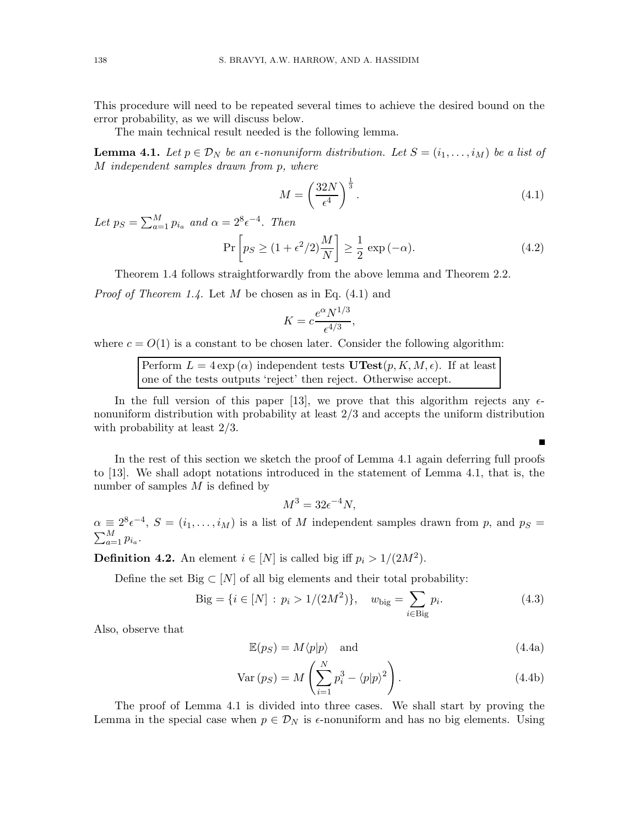This procedure will need to be repeated several times to achieve the desired bound on the error probability, as we will discuss below.

The main technical result needed is the following lemma.

**Lemma 4.1.** Let  $p \in \mathcal{D}_N$  be an  $\epsilon$ -nonuniform distribution. Let  $S = (i_1, \ldots, i_M)$  be a list of M *independent samples drawn from* p*, where*

$$
M = \left(\frac{32N}{\epsilon^4}\right)^{\frac{1}{3}}.\t(4.1)
$$

 $\blacksquare$ 

Let  $p_S = \sum_{a=1}^{M} p_{i_a}$  and  $\alpha = 2^8 \epsilon^{-4}$ . Then

$$
\Pr\left[p_S \ge (1 + \epsilon^2/2)\frac{M}{N}\right] \ge \frac{1}{2}\exp\left(-\alpha\right). \tag{4.2}
$$

Theorem 1.4 follows straightforwardly from the above lemma and Theorem 2.2.

*Proof of Theorem 1.4.* Let M be chosen as in Eq. (4.1) and

$$
K = c \frac{e^{\alpha} N^{1/3}}{\epsilon^{4/3}},
$$

where  $c = O(1)$  is a constant to be chosen later. Consider the following algorithm:

Perform  $L = 4 \exp{(\alpha)}$  independent tests  $\mathbf{UTest}(p, K, M, \epsilon)$ . If at least one of the tests outputs 'reject' then reject. Otherwise accept.

In the full version of this paper [13], we prove that this algorithm rejects any  $\epsilon$ nonuniform distribution with probability at least 2/3 and accepts the uniform distribution with probability at least 2/3.

In the rest of this section we sketch the proof of Lemma 4.1 again deferring full proofs to [13]. We shall adopt notations introduced in the statement of Lemma 4.1, that is, the number of samples  $M$  is defined by

$$
M^3 = 32\epsilon^{-4}N,
$$

 $\alpha \equiv 2^{8} \epsilon^{-4}$ ,  $S = (i_1, \ldots, i_M)$  is a list of M independent samples drawn from p, and  $p_S =$  $\sum_{a=1}^{M} p_{i_a}$ .

**Definition 4.2.** An element  $i \in [N]$  is called big iff  $p_i > 1/(2M^2)$ .

Define the set Big  $\subset [N]$  of all big elements and their total probability:

$$
Big = \{ i \in [N] : p_i > 1/(2M^2) \}, \quad w_{\text{big}} = \sum_{i \in \text{Big}} p_i. \tag{4.3}
$$

Also, observe that

$$
\mathbb{E}(p_S) = M \langle p | p \rangle \quad \text{and} \tag{4.4a}
$$

$$
Var(pS) = M\left(\sum_{i=1}^{N} p_i^3 - \langle p|p\rangle^2\right).
$$
 (4.4b)

The proof of Lemma 4.1 is divided into three cases. We shall start by proving the Lemma in the special case when  $p \in \mathcal{D}_N$  is  $\epsilon$ -nonuniform and has no big elements. Using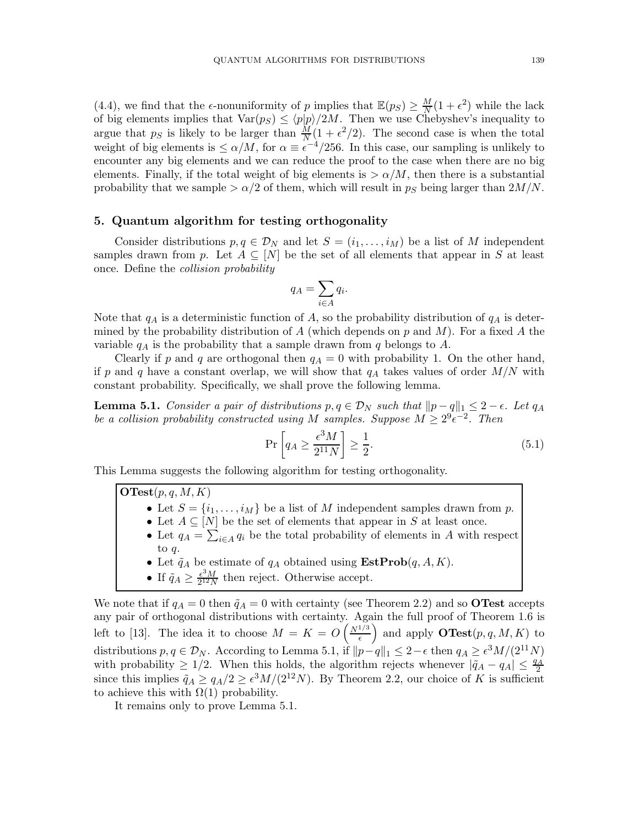(4.4), we find that the  $\epsilon$ -nonuniformity of p implies that  $\mathbb{E}(p_S) \geq \frac{M}{N}$  $\frac{M}{N}(1+\epsilon^2)$  while the lack of big elements implies that  $Var(p_S) \leq \langle p|p\rangle/2M$ . Then we use Chebyshev's inequality to argue that  $p<sub>S</sub>$  is likely to be larger than  $\frac{M}{N}(1 + \epsilon^2/2)$ . The second case is when the total weight of big elements is  $\leq \alpha/M$ , for  $\alpha \equiv \epsilon^{-4}/256$ . In this case, our sampling is unlikely to encounter any big elements and we can reduce the proof to the case when there are no big elements. Finally, if the total weight of big elements is  $> \alpha/M$ , then there is a substantial probability that we sample  $>\alpha/2$  of them, which will result in  $p_S$  being larger than  $2M/N$ .

#### 5. Quantum algorithm for testing orthogonality

Consider distributions  $p, q \in \mathcal{D}_N$  and let  $S = (i_1, \ldots, i_M)$  be a list of M independent samples drawn from p. Let  $A \subseteq [N]$  be the set of all elements that appear in S at least once. Define the *collision probability*

$$
q_A = \sum_{i \in A} q_i.
$$

Note that  $q_A$  is a deterministic function of A, so the probability distribution of  $q_A$  is determined by the probability distribution of A (which depends on  $p$  and  $M$ ). For a fixed A the variable  $q_A$  is the probability that a sample drawn from q belongs to A.

Clearly if p and q are orthogonal then  $q_A = 0$  with probability 1. On the other hand, if p and q have a constant overlap, we will show that  $q_A$  takes values of order  $M/N$  with constant probability. Specifically, we shall prove the following lemma.

**Lemma 5.1.** *Consider a pair of distributions*  $p, q \in \mathcal{D}_N$  *such that*  $||p - q||_1 \leq 2 - \epsilon$ *. Let*  $q_A$ *be a collision probability constructed using*  $M$  *samples. Suppose*  $M \geq 2^9 \epsilon^{-2}$ . Then

$$
\Pr\left[q_A \ge \frac{\epsilon^3 M}{2^{11} N}\right] \ge \frac{1}{2}.\tag{5.1}
$$

This Lemma suggests the following algorithm for testing orthogonality.

 ${\bf OTest}(p,q,M,K)$ 

- Let  $S = \{i_1, \ldots, i_M\}$  be a list of M independent samples drawn from p.
- Let  $A \subseteq [N]$  be the set of elements that appear in S at least once.
- Let  $q_A = \sum_{i \in A} q_i$  be the total probability of elements in A with respect to q.
- Let  $\tilde{q}_A$  be estimate of  $q_A$  obtained using  $\textbf{EstProb}(q, A, K)$ .
- If  $\tilde{q}_A \ge \frac{\epsilon^3 M}{2^{12} N}$  $\frac{\epsilon^{\circ}M}{2^{12}N}$  then reject. Otherwise accept.

We note that if  $q_A = 0$  then  $\tilde{q}_A = 0$  with certainty (see Theorem 2.2) and so **OTest** accepts any pair of orthogonal distributions with certainty. Again the full proof of Theorem 1.6 is left to [13]. The idea it to choose  $M = K = O\left(\frac{N^{1/3}}{\epsilon}\right)$  $\left(\frac{1/3}{\epsilon}\right)$  and apply **OTest** $(p, q, M, K)$  to distributions  $p, q \in \mathcal{D}_N$ . According to Lemma 5.1, if  $||p-q||_1 \leq 2-\epsilon$  then  $q_A \geq \epsilon^3 M/(2^{11}N)$ with probability  $\geq 1/2$ . When this holds, the algorithm rejects whenever  $|\tilde{q}_A - q_A| \leq \frac{q_A}{2}$ since this implies  $\tilde{q}_A \ge q_A/2 \ge \epsilon^3 M/(2^{12}N)$ . By Theorem 2.2, our choice of K is sufficient to achieve this with  $\Omega(1)$  probability.

It remains only to prove Lemma 5.1.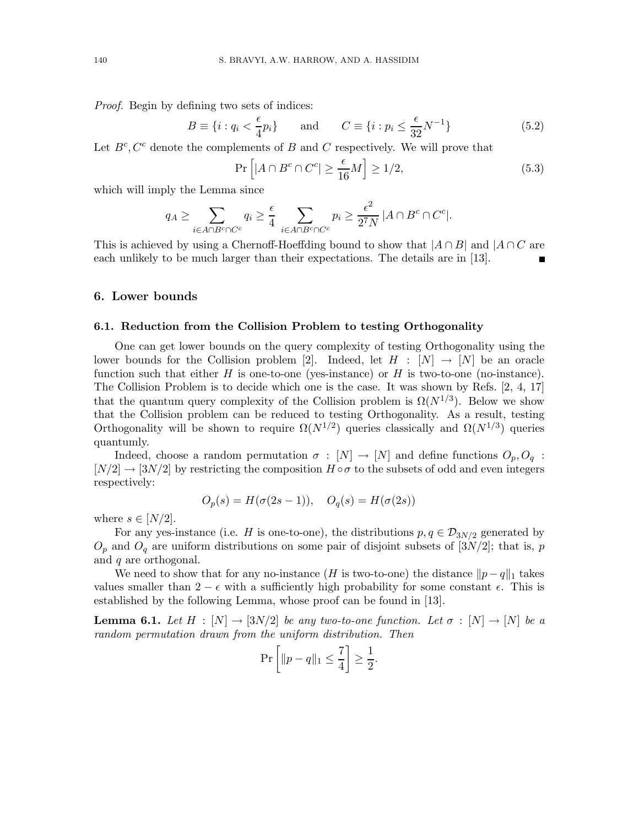*Proof.* Begin by defining two sets of indices:

$$
B \equiv \{i : q_i < \frac{\epsilon}{4} p_i\} \qquad \text{and} \qquad C \equiv \{i : p_i \le \frac{\epsilon}{32} N^{-1}\} \tag{5.2}
$$

Let  $B^c$ ,  $C^c$  denote the complements of B and C respectively. We will prove that

$$
\Pr\left[|A \cap B^c \cap C^c| \ge \frac{\epsilon}{16}M\right] \ge 1/2,\tag{5.3}
$$

which will imply the Lemma since

$$
q_A \ge \sum_{i \in A \cap B^c \cap C^c} q_i \ge \frac{\epsilon}{4} \sum_{i \in A \cap B^c \cap C^c} p_i \ge \frac{\epsilon^2}{2^7 N} |A \cap B^c \cap C^c|.
$$

This is achieved by using a Chernoff-Hoeffding bound to show that  $|A \cap B|$  and  $|A \cap C$  are each unlikely to be much larger than their expectations. The details are in [13].

#### 6. Lower bounds

#### 6.1. Reduction from the Collision Problem to testing Orthogonality

One can get lower bounds on the query complexity of testing Orthogonality using the lower bounds for the Collision problem [2]. Indeed, let  $H : [N] \to [N]$  be an oracle function such that either  $H$  is one-to-one (yes-instance) or  $H$  is two-to-one (no-instance). The Collision Problem is to decide which one is the case. It was shown by Refs. [2, 4, 17] that the quantum query complexity of the Collision problem is  $\Omega(N^{1/3})$ . Below we show that the Collision problem can be reduced to testing Orthogonality. As a result, testing Orthogonality will be shown to require  $\Omega(N^{1/2})$  queries classically and  $\Omega(N^{1/3})$  queries quantumly.

Indeed, choose a random permutation  $\sigma : [N] \to [N]$  and define functions  $O_p, O_q$ :  $[N/2] \rightarrow [3N/2]$  by restricting the composition  $H \circ \sigma$  to the subsets of odd and even integers respectively:

$$
O_p(s) = H(\sigma(2s - 1)), \quad O_q(s) = H(\sigma(2s))
$$

where  $s \in [N/2]$ .

For any yes-instance (i.e. H is one-to-one), the distributions  $p, q \in \mathcal{D}_{3N/2}$  generated by  $O_p$  and  $O_q$  are uniform distributions on some pair of disjoint subsets of [3N/2]; that is, p and q are orthogonal.

We need to show that for any no-instance (H is two-to-one) the distance  $||p - q||_1$  takes values smaller than  $2 - \epsilon$  with a sufficiently high probability for some constant  $\epsilon$ . This is established by the following Lemma, whose proof can be found in [13].

**Lemma 6.1.** Let  $H : [N] \to [3N/2]$  be any two-to-one function. Let  $\sigma : [N] \to [N]$  be a *random permutation drawn from the uniform distribution. Then*

$$
\Pr\left[\|p - q\|_1 \le \frac{7}{4}\right] \ge \frac{1}{2}.
$$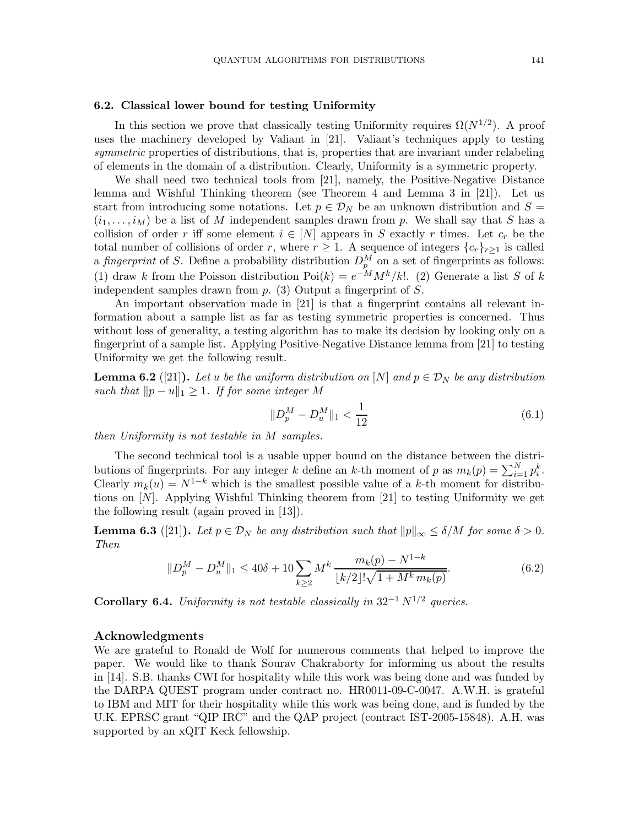#### 6.2. Classical lower bound for testing Uniformity

In this section we prove that classically testing Uniformity requires  $\Omega(N^{1/2})$ . A proof uses the machinery developed by Valiant in [21]. Valiant's techniques apply to testing *symmetric* properties of distributions, that is, properties that are invariant under relabeling of elements in the domain of a distribution. Clearly, Uniformity is a symmetric property.

We shall need two technical tools from [21], namely, the Positive-Negative Distance lemma and Wishful Thinking theorem (see Theorem 4 and Lemma 3 in [21]). Let us start from introducing some notations. Let  $p \in \mathcal{D}_N$  be an unknown distribution and  $S =$  $(i_1, \ldots, i_M)$  be a list of M independent samples drawn from p. We shall say that S has a collision of order r iff some element  $i \in [N]$  appears in S exactly r times. Let  $c_r$  be the total number of collisions of order r, where  $r \geq 1$ . A sequence of integers  $\{c_r\}_{r\geq 1}$  is called a *fingerprint* of S. Define a probability distribution  $D_p^M$  on a set of fingerprints as follows: (1) draw k from the Poisson distribution  $Poi(k) = e^{-M} M^k / k!$ . (2) Generate a list S of k independent samples drawn from  $p$ . (3) Output a fingerprint of  $S$ .

An important observation made in [21] is that a fingerprint contains all relevant information about a sample list as far as testing symmetric properties is concerned. Thus without loss of generality, a testing algorithm has to make its decision by looking only on a fingerprint of a sample list. Applying Positive-Negative Distance lemma from [21] to testing Uniformity we get the following result.

**Lemma 6.2** ([21]). Let u be the uniform distribution on [N] and  $p \in \mathcal{D}_N$  be any distribution *such that*  $||p - u||_1 \geq 1$ *. If for some integer* M

$$
||D_p^M - D_u^M||_1 < \frac{1}{12}
$$
\n(6.1)

*then Uniformity is not testable in* M *samples.*

The second technical tool is a usable upper bound on the distance between the distributions of fingerprints. For any integer k define an k-th moment of p as  $m_k(p) = \sum_{i=1}^{N} p_i^k$ . Clearly  $m_k(u) = N^{1-k}$  which is the smallest possible value of a k-th moment for distributions on [N]. Applying Wishful Thinking theorem from [21] to testing Uniformity we get the following result (again proved in [13]).

**Lemma 6.3** ([21]). Let  $p \in \mathcal{D}_N$  be any distribution such that  $||p||_{\infty} \le \delta/M$  for some  $\delta > 0$ . *Then*

$$
||D_p^M - D_u^M||_1 \le 40\delta + 10 \sum_{k \ge 2} M^k \frac{m_k(p) - N^{1-k}}{\lfloor k/2 \rfloor! \sqrt{1 + M^k m_k(p)}}.
$$
\n(6.2)

Corollary 6.4. *Uniformity is not testable classically in*  $32^{-1} N^{1/2}$  queries.

#### Acknowledgments

We are grateful to Ronald de Wolf for numerous comments that helped to improve the paper. We would like to thank Sourav Chakraborty for informing us about the results in [14]. S.B. thanks CWI for hospitality while this work was being done and was funded by the DARPA QUEST program under contract no. HR0011-09-C-0047. A.W.H. is grateful to IBM and MIT for their hospitality while this work was being done, and is funded by the U.K. EPRSC grant "QIP IRC" and the QAP project (contract IST-2005-15848). A.H. was supported by an xQIT Keck fellowship.